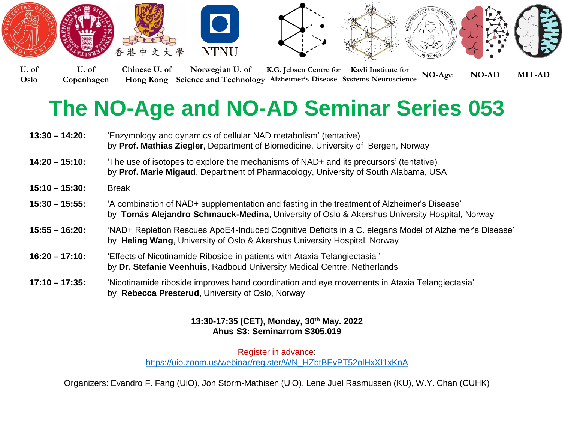

**Chinese U. of Hong Kong Oslo NO-Age NO-AD Norwegian U. of Science and Technology Alzheimer's Disease Systems Neuroscience MIT-AD U. of Copenhagen U. of K.G. Jebsen Centre for Kavli Institute for** 

# **The NO-Age and NO-AD Seminar Series 053**

| $13:30 - 14:20$ : | 'Enzymology and dynamics of cellular NAD metabolism' (tentative)<br>by Prof. Mathias Ziegler, Department of Biomedicine, University of Bergen, Norway                                        |
|-------------------|----------------------------------------------------------------------------------------------------------------------------------------------------------------------------------------------|
| $14:20 - 15:10$ : | 'The use of isotopes to explore the mechanisms of NAD+ and its precursors' (tentative)<br>by Prof. Marie Migaud, Department of Pharmacology, University of South Alabama, USA                |
| $15:10 - 15:30$ : | <b>Break</b>                                                                                                                                                                                 |
| $15:30 - 15:55$ : | 'A combination of NAD+ supplementation and fasting in the treatment of Alzheimer's Disease'<br>by Tomás Alejandro Schmauck-Medina, University of Oslo & Akershus University Hospital, Norway |
| $15:55 - 16:20$ : | 'NAD+ Repletion Rescues ApoE4-Induced Cognitive Deficits in a C. elegans Model of Alzheimer's Disease'<br>by Heling Wang, University of Oslo & Akershus University Hospital, Norway          |
| $16:20 - 17:10$   | 'Effects of Nicotinamide Riboside in patients with Ataxia Telangiectasia '<br>by Dr. Stefanie Veenhuis, Radboud University Medical Centre, Netherlands                                       |
| $17:10 - 17:35$ : | 'Nicotinamide riboside improves hand coordination and eye movements in Ataxia Telangiectasia'<br>by Rebecca Presterud, University of Oslo, Norway                                            |

## **13:30-17:35 (CET), Monday, 30th May. 2022 Ahus S3: Seminarrom S305.019**

Register in advance: [https://uio.zoom.us/webinar/register/WN\\_HZbtBEvPT52olHxXI1xKnA](https://uio.zoom.us/webinar/register/WN_HZbtBEvPT52olHxXI1xKnA)

Organizers: Evandro F. Fang (UiO), Jon Storm-Mathisen (UiO), Lene Juel Rasmussen (KU), W.Y. Chan (CUHK)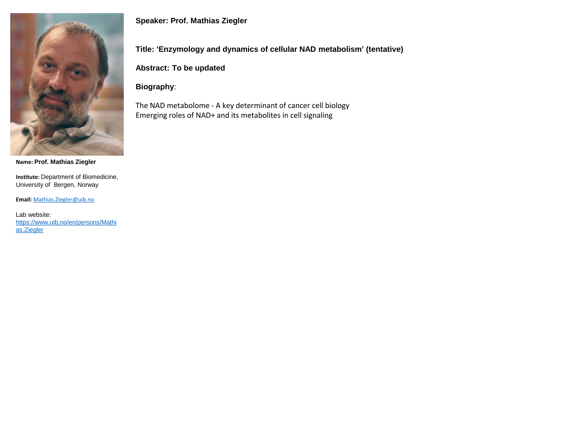

**Name: Prof. Mathias Ziegler**

**Institute:** Department of Biomedicine, University of Bergen, Norway

**Email:** [Mathias.Ziegler@uib.no](mailto:Mathias.Ziegler@uib.no)

Lab website: [https://www.uib.no/en/persons/Mathi](https://www.uib.no/en/persons/Mathias.Ziegler) as.Ziegler

**Speaker: Prof. Mathias Ziegler**

**Title: 'Enzymology and dynamics of cellular NAD metabolism' (tentative)**

**Abstract: To be updated**

## **Biography**:

The NAD metabolome - A key determinant of cancer cell biology Emerging roles of NAD+ and its metabolites in cell signaling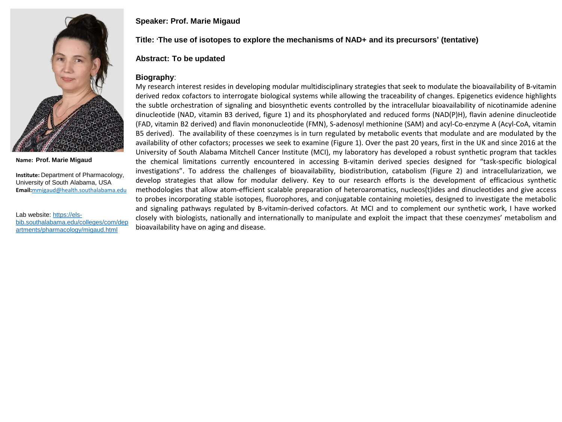

#### **Name: Prof. Marie Migaud**

**Institute:** Department of Pharmacology, University of South Alabama, USA **Email:**[mmigaud@health.southalabama.edu](mailto:mmigaud@health.southalabama.edu)

Lab website: https://els[bib.southalabama.edu/colleges/com/dep](https://els-bib.southalabama.edu/colleges/com/departments/pharmacology/migaud.html) artments/pharmacology/migaud.html

## **Speaker: Prof. Marie Migaud**

## **Title: 'The use of isotopes to explore the mechanisms of NAD+ and its precursors' (tentative)**

#### **Abstract: To be updated**

#### **Biography**:

My research interest resides in developing modular multidisciplinary strategies that seek to modulate the bioavailability of B-vitamin derived redox cofactors to interrogate biological systems while allowing the traceability of changes. Epigenetics evidence highlights the subtle orchestration of signaling and biosynthetic events controlled by the intracellular bioavailability of nicotinamide adenine dinucleotide (NAD, vitamin B3 derived, figure 1) and its phosphorylated and reduced forms (NAD(P)H), flavin adenine dinucleotide (FAD, vitamin B2 derived) and flavin mononucleotide (FMN), S-adenosyl methionine (SAM) and acyl-Co-enzyme A (Acyl-CoA, vitamin B5 derived). The availability of these coenzymes is in turn regulated by metabolic events that modulate and are modulated by the availability of other cofactors; processes we seek to examine (Figure 1). Over the past 20 years, first in the UK and since 2016 at the University of South Alabama Mitchell Cancer Institute (MCI), my laboratory has developed a robust synthetic program that tackles the chemical limitations currently encountered in accessing B-vitamin derived species designed for "task-specific biological investigations". To address the challenges of bioavailability, biodistribution, catabolism (Figure 2) and intracellularization, we develop strategies that allow for modular delivery. Key to our research efforts is the development of efficacious synthetic methodologies that allow atom-efficient scalable preparation of heteroaromatics, nucleos(t)ides and dinucleotides and give access to probes incorporating stable isotopes, fluorophores, and conjugatable containing moieties, designed to investigate the metabolic and signaling pathways regulated by B-vitamin-derived cofactors. At MCI and to complement our synthetic work, I have worked closely with biologists, nationally and internationally to manipulate and exploit the impact that these coenzymes' metabolism and bioavailability have on aging and disease.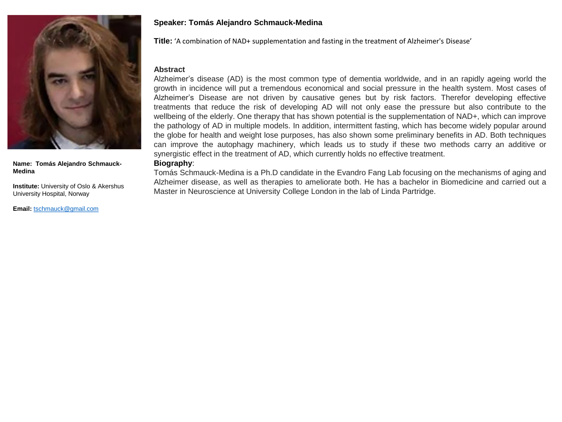

**Name: Tomás Alejandro Schmauck-Medina**

**Institute:** University of Oslo & Akershus University Hospital, Norway

**Email:** [tschmauck@gmail.com](mailto:tschmauck@gmail.com)

## **Speaker: Tomás Alejandro Schmauck-Medina**

**Title:** 'A combination of NAD+ supplementation and fasting in the treatment of Alzheimer's Disease'

#### **Abstract**

Alzheimer's disease (AD) is the most common type of dementia worldwide, and in an rapidly ageing world the growth in incidence will put a tremendous economical and social pressure in the health system. Most cases of Alzheimer's Disease are not driven by causative genes but by risk factors. Therefor developing effective treatments that reduce the risk of developing AD will not only ease the pressure but also contribute to the wellbeing of the elderly. One therapy that has shown potential is the supplementation of NAD+, which can improve the pathology of AD in multiple models. In addition, intermittent fasting, which has become widely popular around the globe for health and weight lose purposes, has also shown some preliminary benefits in AD. Both techniques can improve the autophagy machinery, which leads us to study if these two methods carry an additive or synergistic effect in the treatment of AD, which currently holds no effective treatment.

#### **Biography**:

Tomás Schmauck-Medina is a Ph.D candidate in the Evandro Fang Lab focusing on the mechanisms of aging and Alzheimer disease, as well as therapies to ameliorate both. He has a bachelor in Biomedicine and carried out a Master in Neuroscience at University College London in the lab of Linda Partridge.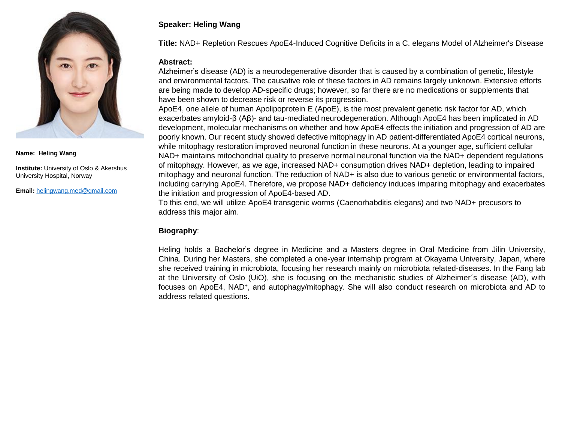

#### **Name: Heling Wang**

**Institute:** University of Oslo & Akershus University Hospital, Norway

**Email:** [helingwang.med@gmail.com](mailto:helingwang.med@gmail.com)

## **Speaker: Heling Wang**

**Title:** NAD+ Repletion Rescues ApoE4-Induced Cognitive Deficits in a C. elegans Model of Alzheimer's Disease

#### **Abstract:**

Alzheimer's disease (AD) is a neurodegenerative disorder that is caused by a combination of genetic, lifestyle and environmental factors. The causative role of these factors in AD remains largely unknown. Extensive efforts are being made to develop AD-specific drugs; however, so far there are no medications or supplements that have been shown to decrease risk or reverse its progression.

ApoE4, one allele of human Apolipoprotein E (ApoE), is the most prevalent genetic risk factor for AD, which exacerbates amyloid-β (Aβ)- and tau-mediated neurodegeneration. Although ApoE4 has been implicated in AD development, molecular mechanisms on whether and how ApoE4 effects the initiation and progression of AD are poorly known. Our recent study showed defective mitophagy in AD patient-differentiated ApoE4 cortical neurons, while mitophagy restoration improved neuronal function in these neurons. At a younger age, sufficient cellular NAD+ maintains mitochondrial quality to preserve normal neuronal function via the NAD+ dependent regulations of mitophagy. However, as we age, increased NAD+ consumption drives NAD+ depletion, leading to impaired mitophagy and neuronal function. The reduction of NAD+ is also due to various genetic or environmental factors, including carrying ApoE4. Therefore, we propose NAD+ deficiency induces imparing mitophagy and exacerbates the initiation and progression of ApoE4-based AD.

To this end, we will utilize ApoE4 transgenic worms (Caenorhabditis elegans) and two NAD+ precusors to address this major aim.

### **Biography**:

Heling holds a Bachelor's degree in Medicine and a Masters degree in Oral Medicine from Jilin University, China. During her Masters, she completed a one-year internship program at Okayama University, Japan, where she received training in microbiota, focusing her research mainly on microbiota related-diseases. In the Fang lab at the University of Oslo (UiO), she is focusing on the mechanistic studies of Alzheimer´s disease (AD), with focuses on ApoE4, NAD<sup>+</sup>, and autophagy/mitophagy. She will also conduct research on microbiota and AD to address related questions.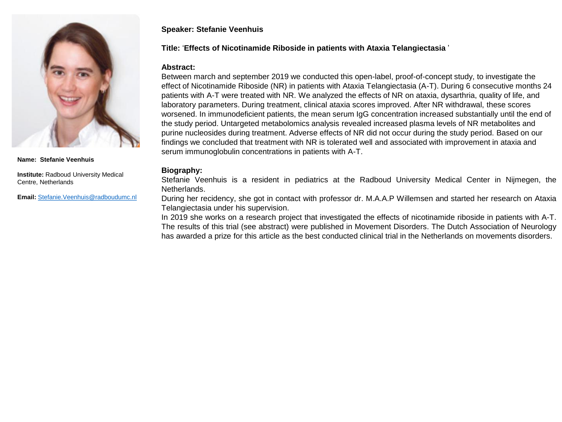

**Name: Stefanie Veenhuis**

**Institute:** Radboud University Medical Centre, Netherlands

**Email:** [Stefanie.Veenhuis@radboudumc.nl](mailto:Stefanie.Veenhuis@radboudumc.nl)

## **Speaker: Stefanie Veenhuis**

## **Title:** '**Effects of Nicotinamide Riboside in patients with Ataxia Telangiectasia** '

## **Abstract:**

Between march and september 2019 we conducted this open-label, proof-of-concept study, to investigate the effect of Nicotinamide Riboside (NR) in patients with Ataxia Telangiectasia (A-T). During 6 consecutive months 24 patients with A-T were treated with NR. We analyzed the effects of NR on ataxia, dysarthria, quality of life, and laboratory parameters. During treatment, clinical ataxia scores improved. After NR withdrawal, these scores worsened. In immunodeficient patients, the mean serum IgG concentration increased substantially until the end of the study period. Untargeted metabolomics analysis revealed increased plasma levels of NR metabolites and purine nucleosides during treatment. Adverse effects of NR did not occur during the study period. Based on our findings we concluded that treatment with NR is tolerated well and associated with improvement in ataxia and serum immunoglobulin concentrations in patients with A-T.

## **Biography:**

Stefanie Veenhuis is a resident in pediatrics at the Radboud University Medical Center in Nijmegen, the Netherlands.

During her recidency, she got in contact with professor dr. M.A.A.P Willemsen and started her research on Ataxia Telangiectasia under his supervision.

In 2019 she works on a research project that investigated the effects of nicotinamide riboside in patients with A-T. The results of this trial (see abstract) were published in Movement Disorders. The Dutch Association of Neurology has awarded a prize for this article as the best conducted clinical trial in the Netherlands on movements disorders.